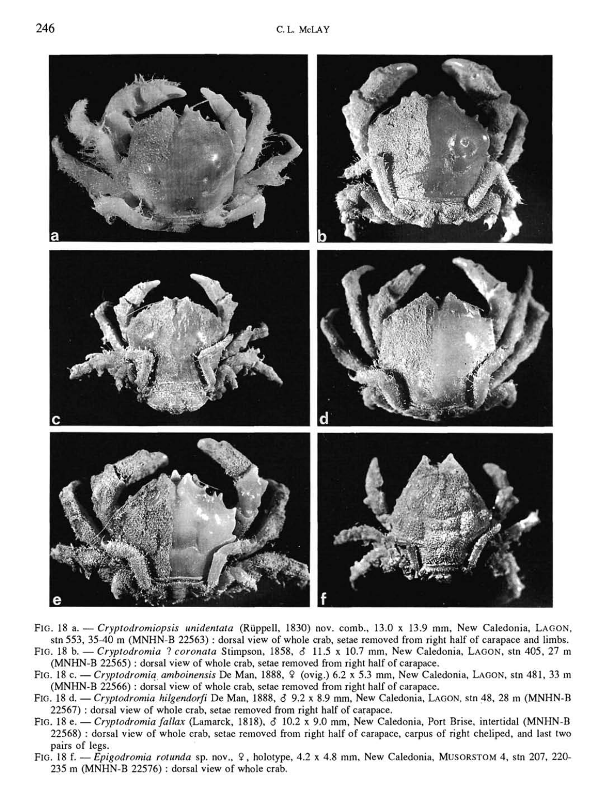

- FIG. 18 a. — *Cryptodromiopsis unidentata* (Ruppell, 1830) nov. comb., 13.0 x 13.9 mm. New Caledonia, LAGON, stn 553, 35-40 m (MNHN-B 22563) : dorsal view of whole crab, setae removed from right half of carapace and limbs. FIG. 18 b. — *Cryptodromia* ? *coronata* Stimpson, 1858, *6* 11.5 x 10.7 mm. New Caledonia, LAGON, stn 405, 27 m (MNHN-B 22565) : dorsal view of whole crab, setae removed from right half of carapace.
- FIG. 18 c — *Cryptodromia amboinensis* De Man, 1888, 9 (ovig.) 6.2 x 5.3 mm. New Caledonia, LAGON, stn 481, 33 m (MNHN-B 22566) : dorsal view of whole crab, setae removed from right half of carapace.
- FIG. 18 d. — *Cryptodromia hilgendorfi* De Man, 1888, *6* 9.2 x 8.9 mm. New Caledonia, LAGON, stn 48, 28 m (MNHN-B 22567) : dorsal view of whole crab, setae removed from right half of carapace.
- FIG. 18 e. — *Cryptodromia fallax* (Lamarck, 1818), *d* 10.2 x 9.0 mm. New Caledonia, Port Brise, intertidal (MNHN-B 22568) : dorsal view of whole crab, setae removed from right half of carapace, carpus of right cheliped, and last two pairs of legs.
- FIG. 18 f. —*Epigodromia rotunda* sp. nov., 9, holotype, 4.2 x 4.8 mm. New Caledonia, MusoRSTOM 4, stn 207, 220- 235 m (MNHN-B 22576) : dorsal view of whole crab.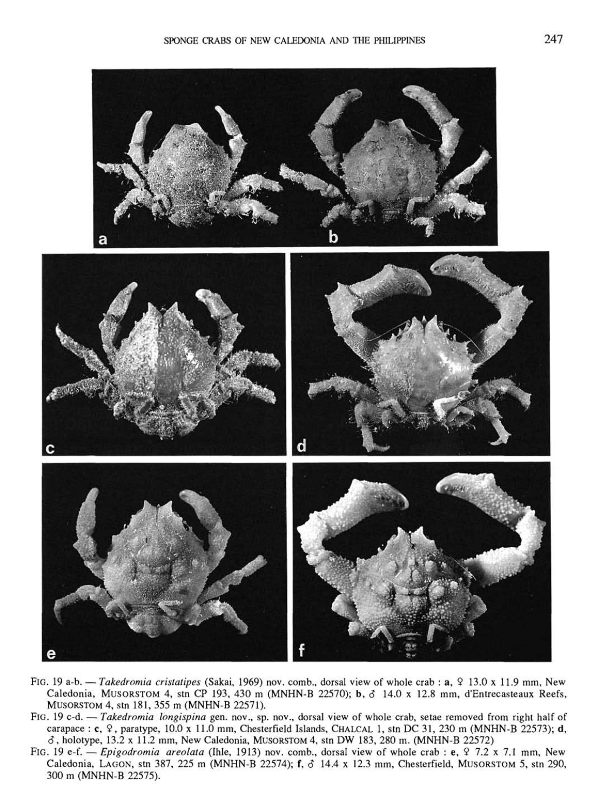

- FIG. 19 a-b. Takedromia cristatipes (Sakai, 1969) nov. comb., dorsal view of whole crab : a,  $9$  13.0 x 11.9 mm, New Caledonia, MusoRSTOM 4, stn CP 193, 430 m (MNHN-B 22570); b, *6* 14.0 x 12.8 mm, d'Entrecasteaux Reefs, MUSORSTOM 4, stn 181, 355 m (MNHN-B 22571).
- FIG. 19 c-d. — *Takedromia longispina* gen. nov., sp. nov., dorsal view of whole crab, setae removed from right half of carapace : c, 9, paratype, 10.0 x 11.0 mm, Chesterfield Islands, CHALCAL 1, stn DC 31, 230 m (MNHN-B 22573); d, *6,* holotype, 13.2 x 11.2 mm. New Caledonia, MUSORSTOM 4, stn DW 183, 280 m. (MNHN-B 22572)
- FIG. 19 e-f. — *Epigodromia areolata* (Ihle, 1913) nov. comb., dorsal view of whole crab : e, 9 7.2 x 7.1 mm, New Caledonia, LAGON, stn 387, 225 m (MNHN-B 22574); f, *6* 14.4 x 12.3 mm, Chesterfield, MUSORSTOM 5, stn 290, 300 m (MNHN-B 22575).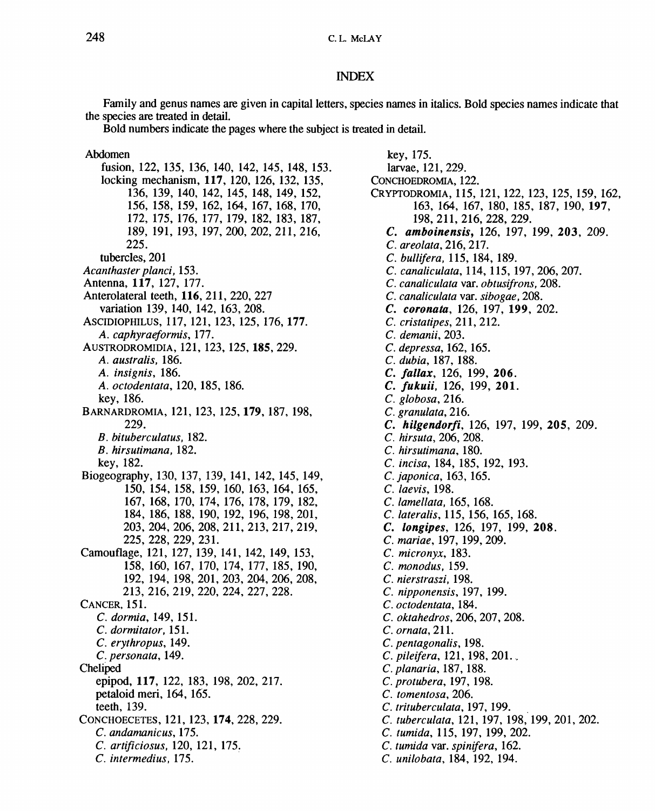## INDEX

Family and genus names are given in capital letters, species names in italics. Bold species names indicate that the species are treated in detail.

Bold numbers indicate the pages where the subject is treated in detail.

## Abdomen

fusion, 122, 135, 136, 140, 142, 145, 148, 153. locking mechanism, **117,** 120, 126, 132, 135, 136, 139, 140, 142, 145, 148, 149, 152, 156, 158, 159, 162, 164, 167, 168, 170, 172, 175, 176, 177, 179, 182, 183, 187, 189, 191, 193, 197, 200, 202, 211, 216, 225. tubercles, 201 *Acanthaster planci,* 153. Antenna, **117,** 127, 177. Anterolateral teeth, **116,** 211, 220, 227 variation 139, 140, 142, 163, 208. ASCIDIOPHILUS, 117, 121, 123, 125, 176,**177.**  *A. caphyraeformis. 111.*  AusTRODROMiDiA, 121, 123, 125,**185,** 229. *A. australis,* 186. *A. insignis,* 186. *A. octodentata,* 120, 185, 186. key, 186. BARNARDROMIA, 121,123, 125,**179,**187, 198, 229. *B. bituberculatus,* 182. *B. hirsutimana,* 182. key, 182. Biogeography, 130, 137, 139, 141, 142, 145, 149, 150, 154, 158, 159, 160, 163, 164, 165, 167, 168, 170, 174, 176, 178, 179, 182, 184, 186, 188, 190, 192, 196, 198, 201, 203, 204, 206, 208, 211, 213, 217, 219, 225, 228, 229, 231. Camouflage, 121, 127, 139, 141, 142, 149, 153, 158, 160, 167, 170, 174, 177, 185, 190, 192, 194, 198, 201, 203, 204, 206, 208, 213, 216, 219, 220, 224, 227, 228. CANCER, 151. C. *dormia,* 149, 151. *C. dormitator,* 151. *C. erythropus,* 149. C. *personata,* 149. Cheliped epipod, **117,** 122, 183, 198, 202, 217. petaloid meri, 164, 165. teeth, 139. CONCHOECETES, 121,123,**174,** 228, 229. *C. andamanicus,* 175. *C. artificiosus,* 120, 121, 175. *C. intermedius,* 175.

key, 175. larvae, 121, 229. CONCHOEDROMIA, 122. CRYPTODROMIA, 115, 121,122, 123, 125, 159, 162, 163, 164, 167, 180, 185, 187, 190, **197,**  198,211,216,228,229. *C. amboinensis,* 126, 197, 199, 203, 209. *C. areolata,* 216, 217. C. *bullifera,* 115, 184, 189. *C. canaliculata,* 114, 115, 197, 206, 207. *C. canaliculata* var. *obtusifrons,* 208. *C. canaliculata* var. *sibogae,* 208. *C. coronata,* 126, 197, **199,** 202. C. *cristatipes, 211, 212. C. demanii,* 203. *C. depressa,* 162, 165. *C. dubia,* 187, 188. *C. fallax,* 126, 199, **206.**  C. *fukuii,* 126, 199, **201.**  *C. globosa,* 216. *C. granulata,* 216. C. *hilgendorfi,* 126, 197, 199, **205,** 209. C. *hirsuta,* 206, 208. *C. hirsutimana,* 180. C. *incisa,* 184, 185, 192, 193. *C.japonica,* 163, 165. C. *laevis,* 198. *C. lamellata,* 165, 168. C. *lateralis,* 115, 156, 165, 168. C. *longipes,* 126, 197, 199, **208.**  C. *mariae,* 197, 199, 209. C *micronyx,* 183. *C. monodus,* 159. C *nierstraszi,* 198. *C. nipponensis,* 197, 199. *C. octodentata,* 184. C. *oktahedros,* 206, 207, 208. *C. ornata,* 211. *C. pentagonalis,* 198. *C.pileifera,* 121,198,201., *C.planaria,\%l,\%%. C. protubera,* 197, 198. *C. tomentosa,* 206. *C. trituberculata,* 197,199. C. *tuberculata,* 121, 197, 198, 199, 201, 202. *C. tumida,* 115, 197, 199,202, *C. tumida* var. *spinifera,* 162. C. *unilobata,* 184, 192, 194.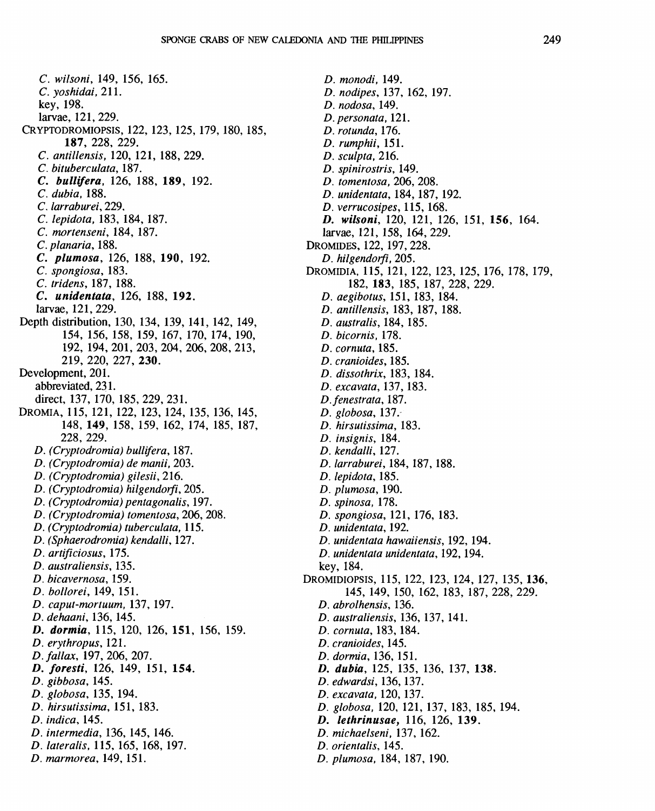C. *wilsoni,* 149, 156, 165. *C. yoshidai,* 211. key, 198. larvae, 121, 229. CRYPTODROMIOPSIS, 122,123,125,179,180,185, **187,** 228, 229. *C. antillensis,* 120, 121, 188, 229. *C. bituberculata,* 187. *C. bullifera,* 126, 188, **189,** 192. C. *dubia.* 188. *C. lanaburei,* 229. *C. lepidota,* 183, 184, 187. *C. mortenseni,* 184, 187. *C.planaria,* 188. *C. plumosa,* 126, 188, 190, 192. *C. spongiosa,* 183, *C. tridens,* 187, 188. C. *unidentata,* 126, 188, 192. larvae, 121, 229. Depth distribution, 130, 134, 139, 141, 142, 149, 154, 156, 158, 159, 167, 170, 174, 190, 192, 194, 201, 203, 204, 206, 208, 213, 219, 220, 227, **230.**  Development, 201. abbreviated, 231. direct, 137, 170, 185, 229, 231. DROMIA, 115, 121, 122, 123, 124, 135, 136, 145, 148, **149,** 158, 159, 162, 174, 185, 187, 228, 229. *D. (Cryptodromia) bullifera,* 187. *D. (Cryptodromia) de manii,* 203. *D. (Cryptodromia) gilesii,* 216. *D. (Cryptodromia) hilgendorfi,* 205. *D. (Cryptodromia) pentagonalis,* 197. *D. (Cryptodromia) tomentosa,* 206, 208. *D. (Cryptodromia) tuberculata,* 115. *D. (Sphaerodromia) kendalli,* 127. *D. artificiosus,* 175. *D. australiensis,* 135. *D. bicavernosa,* 159. *D. bollorei,* 149, 151. *D. caput-mortuum,* 137, 197. *D. dehaani,* 136,145. *D. dormia,* 115, 120, 126, **151,** 156, 159. *D. erythropus,* 121. *D.fallax,* 197,206,207. *D. foresti,* 126, 149, 151, **154.**  *D. gibbosa,* 145. *D. globosa,* 135, 194. *D. hirsutissima,* 151, 183. *D. indica,* 145. *D. intermedia,* 136, 145, 146. *D. lateralis.* 115, 165, 168, 197. *D. marmorea,* 149, 151.

*D. monodi,* 149. *D. nodipes,* 137, 162, 197. *D. nodosa,* 149. *D. per sonata,* 121. *D. rotunda,* 176. *D. rumphii,* 151. *D. sculpta,* 216. *D. spinirostris,* 149. *D. tomentosa,* 206, 208. *D. unidentata,* 184,187, 192. *D. verrucosipes,* 115, 168. *D. wilsoni,* 120, 121, 126, 151, **156,** 164. larvae, 121, 158, 164, 229. DROMIDES, 122,197,228. *D. hilgendorfi.* 205. DROMIDIA, 115, 121, 122, 123, 125, 176, 178, 179, 182, **183,** 185, 187, 228, 229. *D. aegibotus,* 151, 183, 184. *D. antillensis,* 183, 187, 188. *D. australis,* 184, 185. *D. bicornis,* 178. *D. cornuta,* 185. *D. cranioides,* 185. *D. dissothrix,* 183, 184. *D. excavata,* 137,183. *D.fenestrata,* 187. *D. globosa,* 137. *D. hirsutissima,* 183. *D. insignis,* 184. *D. kendalli,* 127. *D. larraburei,* 184, 187,188. *D. lepidota,* 185. *D. plumosa,* 190. *D. spinosa,* 178. *D. spongiosa,* 121, 176, 183. *D. unidentata,* 192. *D. unidentata hawaiiensis,* 192,194. *D. unidentata unidentata,* 192,194. key, 184. DROMIDIOPSIS, 115, 122, 123, 124, 127, 135, **136,**  145, 149, 150, 162, 183, 187, 228, 229. *D. abrolhensis,* 136. *D. australiensis,* 136, 137, 141. *D. cornuta,* 183,184. *D. cranioides,* 145. *D. dormia,* 136, 151. *D. dubia,* 125, 135, 136, 137, **138.**  *D. edwardsi,* 136,137. *D. excavata,* 120,137. *D. globosa,* 120, **121,** 137, 183, 185, 194. *D. lethrinusae,* 116, 126, **139.**  *D. michaelseni,* 137, 162. *D. orientalis,* 145. *D. plumosa,* 184, 187, 190.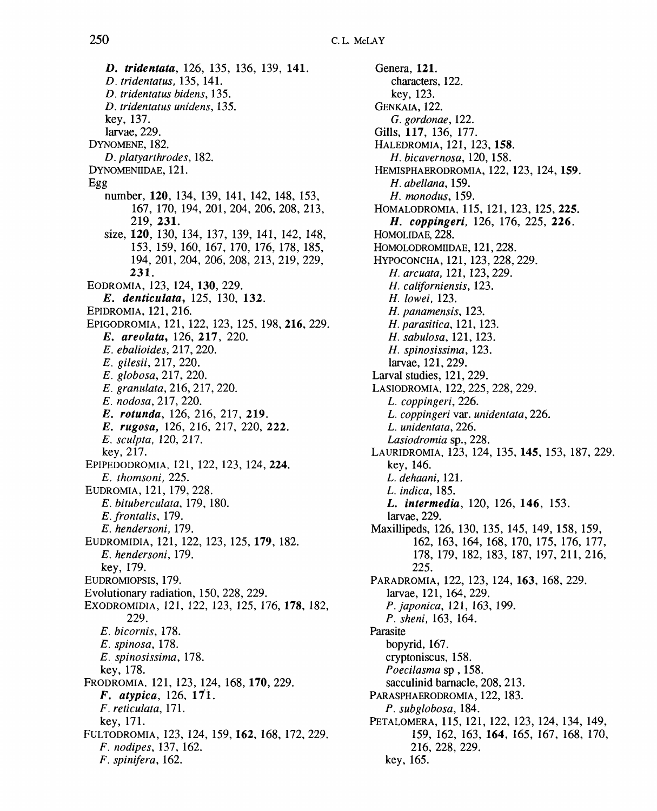*D. tridentata,* 126, 135, 136, 139, **141.**  *D. tridentatus,* 135, 141. *D. tridentatus bidens,* 135. *D. tridentatus unidens,* 135. key, 137. larvae, 229. DYNOMENE, 182. *D. platyarthrodes,* 182. DYNOMENIIDAE, 121. Egg number, **120,** 134, 139, 141, 142, 148, 153, 167, 170, 194, 201, 204, 206, 208, 213, 219, **231.**  size, **120,** 130, 134, 137, 139, 141, 142, 148, 153, 159, 160, 167, 170, 176, 178, 185, 194, 201, 204, 206, 208, 213, 219, 229, **231.**  EODROMIA, 123, 124, **130,** 229. *E. denticulata,* 125, 130, 132. EPIDROMIA, 121, 216. EPIGODROMIA, 121, 122, 123, 125, 198, **216,** 229. *E. areolata,* 126, **217,** 220. *E. ebalioides, 111,* 220. *E. gilesii. 111,* 220. *E. globosa,* 217, 220. *E. granulata,* 216, 217, 220. *E. nodosa. 111,* 220. *E. rotunda,* 126, 216, 217, 219. *E. rugosa,* 126, 216, 217, 220, **222.**  *E. sculpta,* 120, 217. key, 217. EPIPEDODROMIA, 121, 122, 123, 124, **224.**  *E. thomsoni,* 225. EUDROMIA, 121, 179, 228. *E. bituberculata,* 179, 180. *E. frontalis,* 179. *E. hendersoni,* 179. EUDROMIDIA, 121, 122, 123, 125,**179,** 182. *E. hendersoni,* 179. key, 179. EUDROMIOPSIS, 179. Evolutionary radiation, 150, 228, 229. EXODROMIDIA, 121, 122, 123, 125, 176, **178,** 182, 229. *E. bicornis,* 178. *E. spinosa,* 178. *E. spinosissima,* 178. key, 178. PRODROMIA, 121, 123, 124, 168, **170,** 229. *F. atypica,* 126, 171. *F. reticulata. 111.*  key, 171. FULTODROMIA, 123, 124, 159,**162,** 168, 172, 229. *F. nodipes,* 137, 162. *F. spinifera,* 162.

Genera, **121.**  characters, 122. key, 123. GENKAIA, 122. *G. gordonae,* 122. Gills, **117,** 136, 177. HALEDROMIA, 121, 123,**158.**  *H. bicavernosa,* 120, 158. HEMISPHAERODROMIA, 122,123,124,**159.**  *H. abellana,* 159. *H. monodus,* 159. HOMALODROMIA, 115, 121,123, 125, **225.**  *H. coppingeri,* 126, 176, 225, **226.**  HOMOLIDAE, 228. HOMOLODROMIIDAE, 121, 228. HYPOCONCHA, 121, 123, 228, 229. *H.arcuata,* 121, 123,229. //. *californiensis,* 123. *H. lowei,* 123. *H. panamensis,* 123. *H. parasitica. 111,* 123. *H. sabulosa,* 121, 123. *H. spinosissima,* 123. larvae, 121, 229. Larval studies, 121, 229. LASIODROMIA, 122,225, 228, 229. *L. coppingeri,* 226. *L. coppingeri* var. *unidentata,* 226. *L. unidentata,* 226. *Lasiodromia* sp., 228. LAURIDROMIA, 123, 124, 135,**145,** 153, 187, 229. key, 146. *L. dehaani. 111. L. indica,* 185. L. *intermedia,* 120, 126, **146,** 153. larvae, 229. Maxillipeds, 126, 130, 135, 145, 149, 158, 159, 162, 163, 164, 168, 170, 175, 176, 177, 178, 179, 182, 183, 187, 197, 211, 216, 225. PARADROMIA, 122, 123, 124, **163,** 168, 229. larvae, 121, 164, 229. *P.japonica, 111,* 163, 199. *P. sheni,* 163, 164. Parasite bopyrid, 167. cryptoniscus, 158. *Poecilasma* sp , 158. sacculinid barnacle, 208, 213. PARASPHAERODROMIA, 122, 183. *P. subglobosa,* 184. PETALOMERA, 115, 121, 122, 123, 124, 134, 149, 159, 162, 163, **164,** 165, 167, 168, 170, 216, 228, 229. key, 165.